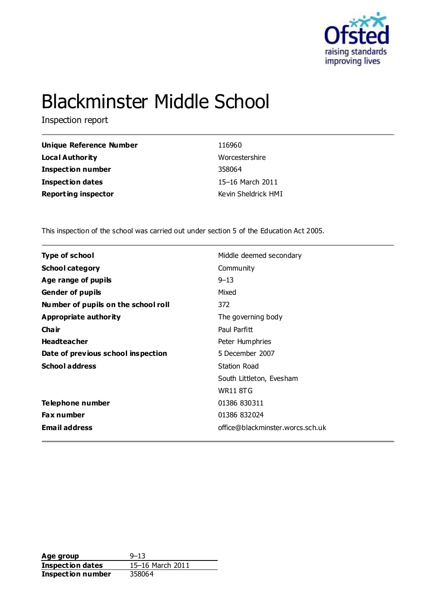

# Blackminster Middle School

Inspection report

| <b>Unique Reference Number</b> | 116960              |
|--------------------------------|---------------------|
| <b>Local Authority</b>         | Worcestershire      |
| <b>Inspection number</b>       | 358064              |
| <b>Inspection dates</b>        | 15-16 March 2011    |
| <b>Reporting inspector</b>     | Kevin Sheldrick HMI |

This inspection of the school was carried out under section 5 of the Education Act 2005.

| Middle deemed secondary          |
|----------------------------------|
| Community                        |
| $9 - 13$                         |
| Mixed                            |
| 372                              |
| The governing body               |
| Paul Parfitt                     |
| Peter Humphries                  |
| 5 December 2007                  |
| Station Road                     |
| South Littleton, Evesham         |
| <b>WR11 8TG</b>                  |
| 01386 830311                     |
| 01386 832024                     |
| office@blackminster.worcs.sch.uk |
|                                  |

**Age group** 9–13<br> **Inspection dates** 15–16 March 2011 **Inspection dates** 15–16 March 2011 **Inspection number** 358064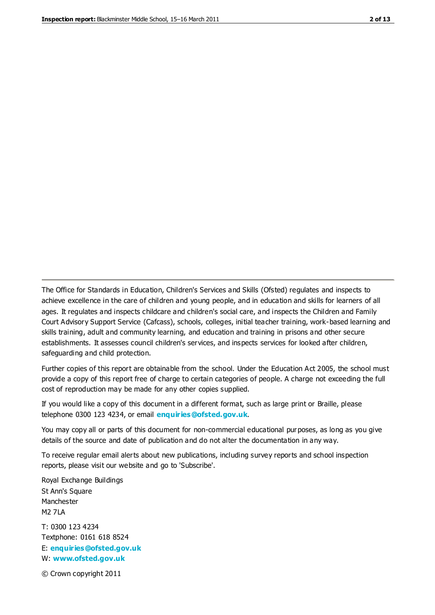The Office for Standards in Education, Children's Services and Skills (Ofsted) regulates and inspects to achieve excellence in the care of children and young people, and in education and skills for learners of all ages. It regulates and inspects childcare and children's social care, and inspects the Children and Family Court Advisory Support Service (Cafcass), schools, colleges, initial teacher training, work-based learning and skills training, adult and community learning, and education and training in prisons and other secure establishments. It assesses council children's services, and inspects services for looked after children, safeguarding and child protection.

Further copies of this report are obtainable from the school. Under the Education Act 2005, the school must provide a copy of this report free of charge to certain categories of people. A charge not exceeding the full cost of reproduction may be made for any other copies supplied.

If you would like a copy of this document in a different format, such as large print or Braille, please telephone 0300 123 4234, or email **[enquiries@ofsted.gov.uk](mailto:enquiries@ofsted.gov.uk)**.

You may copy all or parts of this document for non-commercial educational purposes, as long as you give details of the source and date of publication and do not alter the documentation in any way.

To receive regular email alerts about new publications, including survey reports and school inspection reports, please visit our website and go to 'Subscribe'.

Royal Exchange Buildings St Ann's Square Manchester M2 7LA T: 0300 123 4234 Textphone: 0161 618 8524 E: **[enquiries@ofsted.gov.uk](mailto:enquiries@ofsted.gov.uk)**

W: **[www.ofsted.gov.uk](http://www.ofsted.gov.uk/)**

© Crown copyright 2011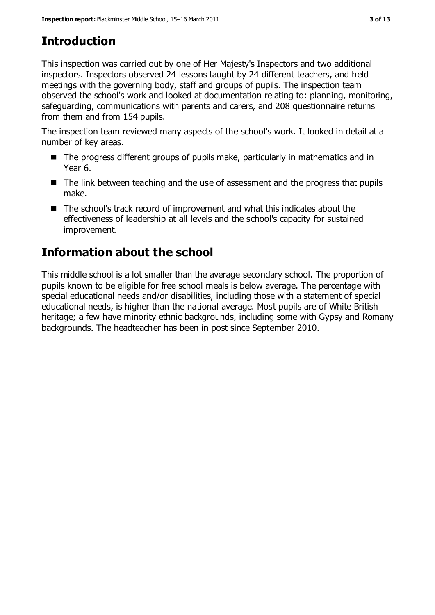# **Introduction**

This inspection was carried out by one of Her Majesty's Inspectors and two additional inspectors. Inspectors observed 24 lessons taught by 24 different teachers, and held meetings with the governing body, staff and groups of pupils. The inspection team observed the school's work and looked at documentation relating to: planning, monitoring, safeguarding, communications with parents and carers, and 208 questionnaire returns from them and from 154 pupils.

The inspection team reviewed many aspects of the school's work. It looked in detail at a number of key areas.

- The progress different groups of pupils make, particularly in mathematics and in Year 6.
- The link between teaching and the use of assessment and the progress that pupils make.
- The school's track record of improvement and what this indicates about the effectiveness of leadership at all levels and the school's capacity for sustained improvement.

# **Information about the school**

This middle school is a lot smaller than the average secondary school. The proportion of pupils known to be eligible for free school meals is below average. The percentage with special educational needs and/or disabilities, including those with a statement of special educational needs, is higher than the national average. Most pupils are of White British heritage; a few have minority ethnic backgrounds, including some with Gypsy and Romany backgrounds. The headteacher has been in post since September 2010.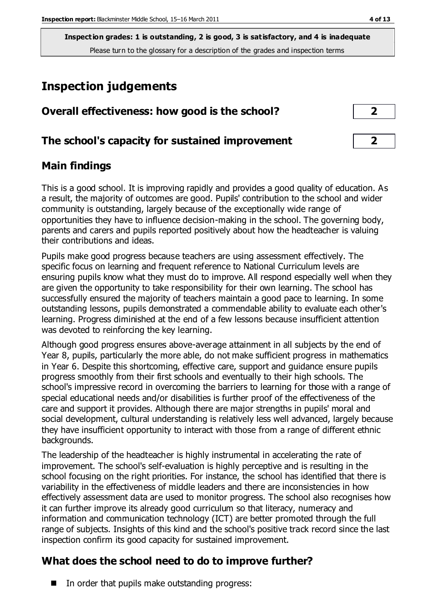**Inspection grades: 1 is outstanding, 2 is good, 3 is satisfactory, and 4 is inadequate** Please turn to the glossary for a description of the grades and inspection terms

# **Inspection judgements**

| Overall effectiveness: how good is the school?  | 2 <sub>2</sub> |
|-------------------------------------------------|----------------|
| The school's capacity for sustained improvement | $\overline{2}$ |

# **Main findings**

This is a good school. It is improving rapidly and provides a good quality of education. As a result, the majority of outcomes are good. Pupils' contribution to the school and wider community is outstanding, largely because of the exceptionally wide range of opportunities they have to influence decision-making in the school. The governing body, parents and carers and pupils reported positively about how the headteacher is valuing their contributions and ideas.

Pupils make good progress because teachers are using assessment effectively. The specific focus on learning and frequent reference to National Curriculum levels are ensuring pupils know what they must do to improve. All respond especially well when they are given the opportunity to take responsibility for their own learning. The school has successfully ensured the majority of teachers maintain a good pace to learning. In some outstanding lessons, pupils demonstrated a commendable ability to evaluate each other's learning. Progress diminished at the end of a few lessons because insufficient attention was devoted to reinforcing the key learning.

Although good progress ensures above-average attainment in all subjects by the end of Year 8, pupils, particularly the more able, do not make sufficient progress in mathematics in Year 6. Despite this shortcoming, effective care, support and guidance ensure pupils progress smoothly from their first schools and eventually to their high schools. The school's impressive record in overcoming the barriers to learning for those with a range of special educational needs and/or disabilities is further proof of the effectiveness of the care and support it provides. Although there are major strengths in pupils' moral and social development, cultural understanding is relatively less well advanced, largely because they have insufficient opportunity to interact with those from a range of different ethnic backgrounds.

The leadership of the headteacher is highly instrumental in accelerating the rate of improvement. The school's self-evaluation is highly perceptive and is resulting in the school focusing on the right priorities. For instance, the school has identified that there is variability in the effectiveness of middle leaders and there are inconsistencies in how effectively assessment data are used to monitor progress. The school also recognises how it can further improve its already good curriculum so that literacy, numeracy and information and communication technology (ICT) are better promoted through the full range of subjects. Insights of this kind and the school's positive track record since the last inspection confirm its good capacity for sustained improvement.

# **What does the school need to do to improve further?**

 $\blacksquare$  In order that pupils make outstanding progress: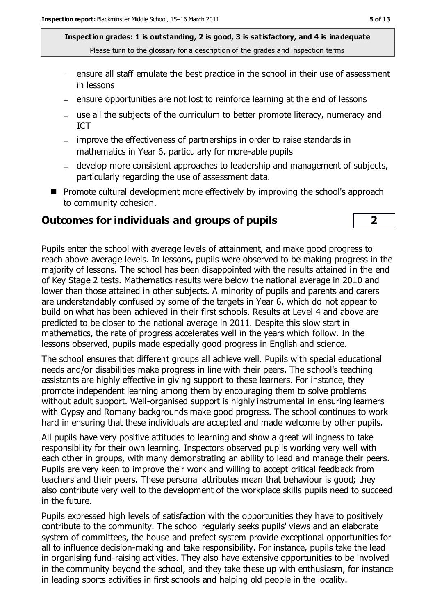**Inspection grades: 1 is outstanding, 2 is good, 3 is satisfactory, and 4 is inadequate** Please turn to the glossary for a description of the grades and inspection terms

- $-$  ensure all staff emulate the best practice in the school in their use of assessment in lessons
- $-$  ensure opportunities are not lost to reinforce learning at the end of lessons
- use all the subjects of the curriculum to better promote literacy, numeracy and ICT
- improve the effectiveness of partnerships in order to raise standards in mathematics in Year 6, particularly for more-able pupils
- develop more consistent approaches to leadership and management of subjects, particularly regarding the use of assessment data.
- **Promote cultural development more effectively by improving the school's approach** to community cohesion.

#### **Outcomes for individuals and groups of pupils 2**

Pupils enter the school with average levels of attainment, and make good progress to reach above average levels. In lessons, pupils were observed to be making progress in the majority of lessons. The school has been disappointed with the results attained in the end of Key Stage 2 tests. Mathematics results were below the national average in 2010 and lower than those attained in other subjects. A minority of pupils and parents and carers are understandably confused by some of the targets in Year 6, which do not appear to build on what has been achieved in their first schools. Results at Level 4 and above are predicted to be closer to the national average in 2011. Despite this slow start in mathematics, the rate of progress accelerates well in the years which follow. In the lessons observed, pupils made especially good progress in English and science.

The school ensures that different groups all achieve well. Pupils with special educational needs and/or disabilities make progress in line with their peers. The school's teaching assistants are highly effective in giving support to these learners. For instance, they promote independent learning among them by encouraging them to solve problems without adult support. Well-organised support is highly instrumental in ensuring learners with Gypsy and Romany backgrounds make good progress. The school continues to work hard in ensuring that these individuals are accepted and made welcome by other pupils.

All pupils have very positive attitudes to learning and show a great willingness to take responsibility for their own learning. Inspectors observed pupils working very well with each other in groups, with many demonstrating an ability to lead and manage their peers. Pupils are very keen to improve their work and willing to accept critical feedback from teachers and their peers. These personal attributes mean that behaviour is good; they also contribute very well to the development of the workplace skills pupils need to succeed in the future.

Pupils expressed high levels of satisfaction with the opportunities they have to positively contribute to the community. The school regularly seeks pupils' views and an elaborate system of committees, the house and prefect system provide exceptional opportunities for all to influence decision-making and take responsibility. For instance, pupils take the lead in organising fund-raising activities. They also have extensive opportunities to be involved in the community beyond the school, and they take these up with enthusiasm, for instance in leading sports activities in first schools and helping old people in the locality.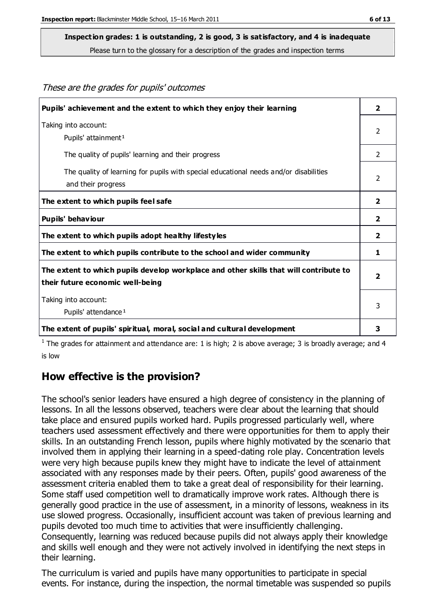These are the grades for pupils' outcomes

### **Inspection grades: 1 is outstanding, 2 is good, 3 is satisfactory, and 4 is inadequate**

Please turn to the glossary for a description of the grades and inspection terms

| Pupils' achievement and the extent to which they enjoy their learning                                                     | $\overline{2}$          |
|---------------------------------------------------------------------------------------------------------------------------|-------------------------|
| Taking into account:<br>Pupils' attainment <sup>1</sup>                                                                   | 2                       |
| The quality of pupils' learning and their progress                                                                        | $\mathcal{P}$           |
| The quality of learning for pupils with special educational needs and/or disabilities<br>and their progress               | 2                       |
| The extent to which pupils feel safe                                                                                      | $\overline{2}$          |
| Pupils' behaviour                                                                                                         | $\overline{\mathbf{2}}$ |
| The extent to which pupils adopt healthy lifestyles                                                                       | $\mathbf{2}$            |
| The extent to which pupils contribute to the school and wider community                                                   | 1                       |
| The extent to which pupils develop workplace and other skills that will contribute to<br>their future economic well-being |                         |
| Taking into account:<br>Pupils' attendance <sup>1</sup>                                                                   | 3                       |
| The extent of pupils' spiritual, moral, social and cultural development                                                   | з                       |

<sup>1</sup> The grades for attainment and attendance are: 1 is high; 2 is above average; 3 is broadly average; and 4 is low

### **How effective is the provision?**

The school's senior leaders have ensured a high degree of consistency in the planning of lessons. In all the lessons observed, teachers were clear about the learning that should take place and ensured pupils worked hard. Pupils progressed particularly well, where teachers used assessment effectively and there were opportunities for them to apply their skills. In an outstanding French lesson, pupils where highly motivated by the scenario that involved them in applying their learning in a speed-dating role play. Concentration levels were very high because pupils knew they might have to indicate the level of attainment associated with any responses made by their peers. Often, pupils' good awareness of the assessment criteria enabled them to take a great deal of responsibility for their learning. Some staff used competition well to dramatically improve work rates. Although there is generally good practice in the use of assessment, in a minority of lessons, weakness in its use slowed progress. Occasionally, insufficient account was taken of previous learning and pupils devoted too much time to activities that were insufficiently challenging. Consequently, learning was reduced because pupils did not always apply their knowledge and skills well enough and they were not actively involved in identifying the next steps in their learning.

The curriculum is varied and pupils have many opportunities to participate in special events. For instance, during the inspection, the normal timetable was suspended so pupils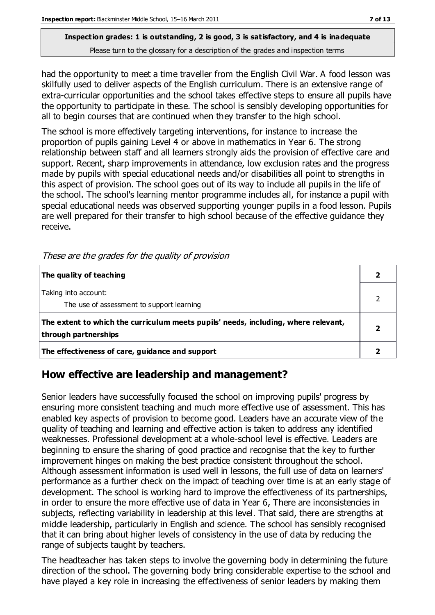### **Inspection grades: 1 is outstanding, 2 is good, 3 is satisfactory, and 4 is inadequate** Please turn to the glossary for a description of the grades and inspection terms

had the opportunity to meet a time traveller from the English Civil War. A food lesson was skilfully used to deliver aspects of the English curriculum. There is an extensive range of extra-curricular opportunities and the school takes effective steps to ensure all pupils have the opportunity to participate in these. The school is sensibly developing opportunities for all to begin courses that are continued when they transfer to the high school.

The school is more effectively targeting interventions, for instance to increase the proportion of pupils gaining Level 4 or above in mathematics in Year 6. The strong relationship between staff and all learners strongly aids the provision of effective care and support. Recent, sharp improvements in attendance, low exclusion rates and the progress made by pupils with special educational needs and/or disabilities all point to strengths in this aspect of provision. The school goes out of its way to include all pupils in the life of the school. The school's learning mentor programme includes all, for instance a pupil with special educational needs was observed supporting younger pupils in a food lesson. Pupils are well prepared for their transfer to high school because of the effective guidance they receive.

| The quality of teaching                                                                                    |  |
|------------------------------------------------------------------------------------------------------------|--|
| Taking into account:<br>The use of assessment to support learning                                          |  |
| The extent to which the curriculum meets pupils' needs, including, where relevant,<br>through partnerships |  |
| The effectiveness of care, guidance and support                                                            |  |

These are the grades for the quality of provision

# **How effective are leadership and management?**

Senior leaders have successfully focused the school on improving pupils' progress by ensuring more consistent teaching and much more effective use of assessment. This has enabled key aspects of provision to become good. Leaders have an accurate view of the quality of teaching and learning and effective action is taken to address any identified weaknesses. Professional development at a whole-school level is effective. Leaders are beginning to ensure the sharing of good practice and recognise that the key to further improvement hinges on making the best practice consistent throughout the school. Although assessment information is used well in lessons, the full use of data on learners' performance as a further check on the impact of teaching over time is at an early stage of development. The school is working hard to improve the effectiveness of its partnerships, in order to ensure the more effective use of data in Year 6, There are inconsistencies in subjects, reflecting variability in leadership at this level. That said, there are strengths at middle leadership, particularly in English and science. The school has sensibly recognised that it can bring about higher levels of consistency in the use of data by reducing the range of subjects taught by teachers.

The headteacher has taken steps to involve the governing body in determining the future direction of the school. The governing body bring considerable expertise to the school and have played a key role in increasing the effectiveness of senior leaders by making them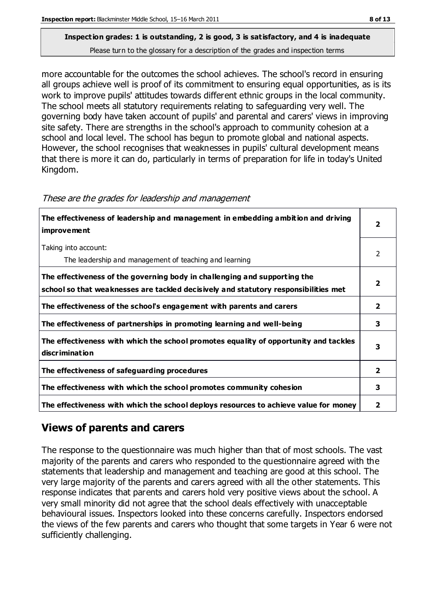# **Inspection grades: 1 is outstanding, 2 is good, 3 is satisfactory, and 4 is inadequate**

Please turn to the glossary for a description of the grades and inspection terms

more accountable for the outcomes the school achieves. The school's record in ensuring all groups achieve well is proof of its commitment to ensuring equal opportunities, as is its work to improve pupils' attitudes towards different ethnic groups in the local community. The school meets all statutory requirements relating to safeguarding very well. The governing body have taken account of pupils' and parental and carers' views in improving site safety. There are strengths in the school's approach to community cohesion at a school and local level. The school has begun to promote global and national aspects. However, the school recognises that weaknesses in pupils' cultural development means that there is more it can do, particularly in terms of preparation for life in today's United Kingdom.

| The effectiveness of leadership and management in embedding ambition and driving<br>improvement                                                                  |                |
|------------------------------------------------------------------------------------------------------------------------------------------------------------------|----------------|
| Taking into account:<br>The leadership and management of teaching and learning                                                                                   | $\mathcal{P}$  |
| The effectiveness of the governing body in challenging and supporting the<br>school so that weaknesses are tackled decisively and statutory responsibilities met |                |
| The effectiveness of the school's engagement with parents and carers                                                                                             | $\overline{2}$ |
| The effectiveness of partnerships in promoting learning and well-being                                                                                           | 3              |
| The effectiveness with which the school promotes equality of opportunity and tackles<br>discrimination                                                           | 3              |
| The effectiveness of safeguarding procedures                                                                                                                     | $\overline{2}$ |
| The effectiveness with which the school promotes community cohesion                                                                                              | 3              |
| The effectiveness with which the school deploys resources to achieve value for money                                                                             | 2              |

#### These are the grades for leadership and management

# **Views of parents and carers**

The response to the questionnaire was much higher than that of most schools. The vast majority of the parents and carers who responded to the questionnaire agreed with the statements that leadership and management and teaching are good at this school. The very large majority of the parents and carers agreed with all the other statements. This response indicates that parents and carers hold very positive views about the school. A very small minority did not agree that the school deals effectively with unacceptable behavioural issues. Inspectors looked into these concerns carefully. Inspectors endorsed the views of the few parents and carers who thought that some targets in Year 6 were not sufficiently challenging.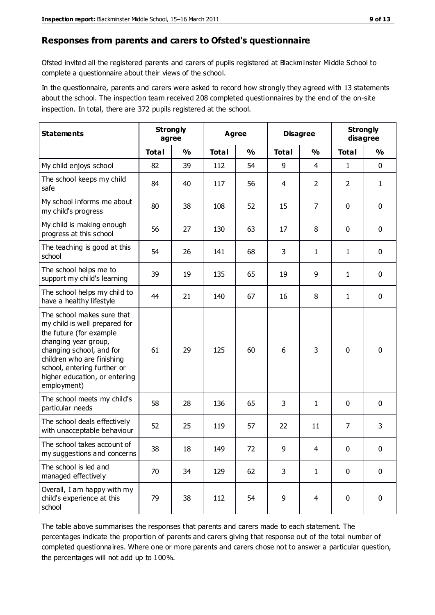#### **Responses from parents and carers to Ofsted's questionnaire**

Ofsted invited all the registered parents and carers of pupils registered at Blackminster Middle School to complete a questionnaire about their views of the school.

In the questionnaire, parents and carers were asked to record how strongly they agreed with 13 statements about the school. The inspection team received 208 completed questionnaires by the end of the on-site inspection. In total, there are 372 pupils registered at the school.

| <b>Statements</b>                                                                                                                                                                                                                                       | <b>Strongly</b><br>agree |               | <b>Agree</b> |               | <b>Disagree</b> |                | <b>Strongly</b><br>disagree |              |
|---------------------------------------------------------------------------------------------------------------------------------------------------------------------------------------------------------------------------------------------------------|--------------------------|---------------|--------------|---------------|-----------------|----------------|-----------------------------|--------------|
|                                                                                                                                                                                                                                                         | <b>Total</b>             | $\frac{0}{0}$ | <b>Total</b> | $\frac{0}{0}$ | <b>Total</b>    | $\frac{0}{0}$  | <b>Total</b>                | %            |
| My child enjoys school                                                                                                                                                                                                                                  | 82                       | 39            | 112          | 54            | 9               | $\overline{4}$ | 1                           | $\mathbf 0$  |
| The school keeps my child<br>safe                                                                                                                                                                                                                       | 84                       | 40            | 117          | 56            | 4               | $\overline{2}$ | $\overline{2}$              | $\mathbf{1}$ |
| My school informs me about<br>my child's progress                                                                                                                                                                                                       | 80                       | 38            | 108          | 52            | 15              | 7              | $\mathbf 0$                 | $\mathbf 0$  |
| My child is making enough<br>progress at this school                                                                                                                                                                                                    | 56                       | 27            | 130          | 63            | 17              | 8              | 0                           | $\mathbf 0$  |
| The teaching is good at this<br>school                                                                                                                                                                                                                  | 54                       | 26            | 141          | 68            | 3               | $\mathbf{1}$   | 1                           | $\mathbf 0$  |
| The school helps me to<br>support my child's learning                                                                                                                                                                                                   | 39                       | 19            | 135          | 65            | 19              | 9              | 1                           | $\mathbf 0$  |
| The school helps my child to<br>have a healthy lifestyle                                                                                                                                                                                                | 44                       | 21            | 140          | 67            | 16              | 8              | 1                           | 0            |
| The school makes sure that<br>my child is well prepared for<br>the future (for example<br>changing year group,<br>changing school, and for<br>children who are finishing<br>school, entering further or<br>higher education, or entering<br>employment) | 61                       | 29            | 125          | 60            | 6               | 3              | $\mathbf 0$                 | $\mathbf 0$  |
| The school meets my child's<br>particular needs                                                                                                                                                                                                         | 58                       | 28            | 136          | 65            | 3               | $\mathbf{1}$   | $\mathbf 0$                 | $\mathbf 0$  |
| The school deals effectively<br>with unacceptable behaviour                                                                                                                                                                                             | 52                       | 25            | 119          | 57            | 22              | 11             | $\overline{7}$              | 3            |
| The school takes account of<br>my suggestions and concerns                                                                                                                                                                                              | 38                       | 18            | 149          | 72            | 9               | $\overline{4}$ | 0                           | 0            |
| The school is led and<br>managed effectively                                                                                                                                                                                                            | 70                       | 34            | 129          | 62            | 3               | $\mathbf{1}$   | $\mathbf 0$                 | $\mathbf 0$  |
| Overall, I am happy with my<br>child's experience at this<br>school                                                                                                                                                                                     | 79                       | 38            | 112          | 54            | 9               | $\overline{4}$ | $\mathbf 0$                 | $\mathbf 0$  |

The table above summarises the responses that parents and carers made to each statement. The percentages indicate the proportion of parents and carers giving that response out of the total number of completed questionnaires. Where one or more parents and carers chose not to answer a particular question, the percentages will not add up to 100%.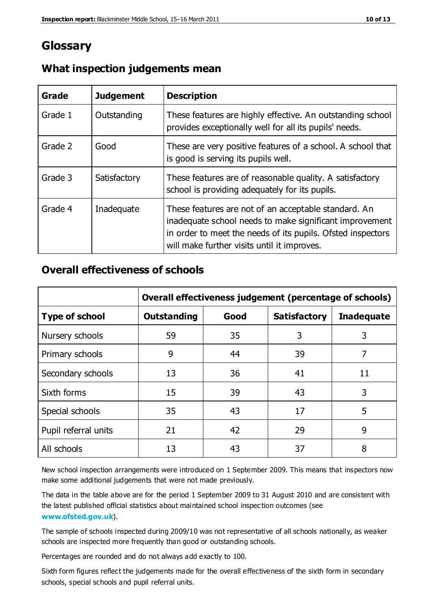# **Glossary**

| Grade   | <b>Judgement</b> | <b>Description</b>                                                                                                                                                                                                            |
|---------|------------------|-------------------------------------------------------------------------------------------------------------------------------------------------------------------------------------------------------------------------------|
| Grade 1 | Outstanding      | These features are highly effective. An outstanding school<br>provides exceptionally well for all its pupils' needs.                                                                                                          |
| Grade 2 | Good             | These are very positive features of a school. A school that<br>is good is serving its pupils well.                                                                                                                            |
| Grade 3 | Satisfactory     | These features are of reasonable quality. A satisfactory<br>school is providing adequately for its pupils.                                                                                                                    |
| Grade 4 | Inadequate       | These features are not of an acceptable standard. An<br>inadequate school needs to make significant improvement<br>in order to meet the needs of its pupils. Ofsted inspectors<br>will make further visits until it improves. |

### **What inspection judgements mean**

### **Overall effectiveness of schools**

|                       | Overall effectiveness judgement (percentage of schools) |      |                     |                   |
|-----------------------|---------------------------------------------------------|------|---------------------|-------------------|
| <b>Type of school</b> | <b>Outstanding</b>                                      | Good | <b>Satisfactory</b> | <b>Inadequate</b> |
| Nursery schools       | 59                                                      | 35   | 3                   | 3                 |
| Primary schools       | 9                                                       | 44   | 39                  | 7                 |
| Secondary schools     | 13                                                      | 36   | 41                  | 11                |
| Sixth forms           | 15                                                      | 39   | 43                  | 3                 |
| Special schools       | 35                                                      | 43   | 17                  | 5                 |
| Pupil referral units  | 21                                                      | 42   | 29                  | 9                 |
| All schools           | 13                                                      | 43   | 37                  | 8                 |

New school inspection arrangements were introduced on 1 September 2009. This means that inspectors now make some additional judgements that were not made previously.

The data in the table above are for the period 1 September 2009 to 31 August 2010 and are consistent with the latest published official statistics about maintained school inspec tion outcomes (see **[www.ofsted.gov.uk](http://www.ofsted.gov.uk/)**).

The sample of schools inspected during 2009/10 was not representative of all schools nationally, as weaker schools are inspected more frequently than good or outstanding schools.

Percentages are rounded and do not always add exactly to 100.

Sixth form figures reflect the judgements made for the overall effectiveness of the sixth form in secondary schools, special schools and pupil referral units.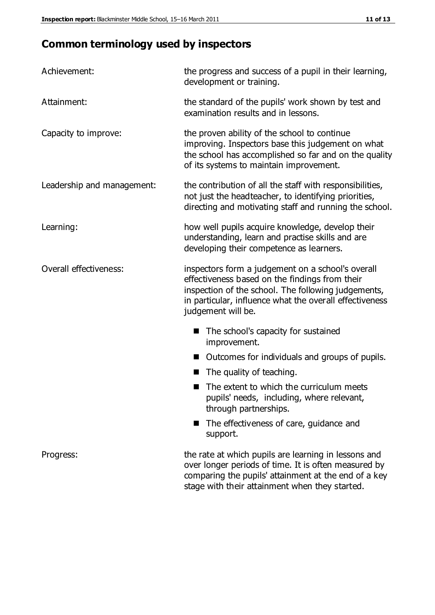# **Common terminology used by inspectors**

| Achievement:                  | the progress and success of a pupil in their learning,<br>development or training.                                                                                                                                                          |  |  |
|-------------------------------|---------------------------------------------------------------------------------------------------------------------------------------------------------------------------------------------------------------------------------------------|--|--|
| Attainment:                   | the standard of the pupils' work shown by test and<br>examination results and in lessons.                                                                                                                                                   |  |  |
| Capacity to improve:          | the proven ability of the school to continue<br>improving. Inspectors base this judgement on what<br>the school has accomplished so far and on the quality<br>of its systems to maintain improvement.                                       |  |  |
| Leadership and management:    | the contribution of all the staff with responsibilities,<br>not just the headteacher, to identifying priorities,<br>directing and motivating staff and running the school.                                                                  |  |  |
| Learning:                     | how well pupils acquire knowledge, develop their<br>understanding, learn and practise skills and are<br>developing their competence as learners.                                                                                            |  |  |
| <b>Overall effectiveness:</b> | inspectors form a judgement on a school's overall<br>effectiveness based on the findings from their<br>inspection of the school. The following judgements,<br>in particular, influence what the overall effectiveness<br>judgement will be. |  |  |
|                               | The school's capacity for sustained<br>improvement.                                                                                                                                                                                         |  |  |
|                               | Outcomes for individuals and groups of pupils.                                                                                                                                                                                              |  |  |
|                               | The quality of teaching.                                                                                                                                                                                                                    |  |  |
|                               | The extent to which the curriculum meets<br>pupils' needs, including, where relevant,<br>through partnerships.                                                                                                                              |  |  |
|                               | The effectiveness of care, guidance and<br>support.                                                                                                                                                                                         |  |  |
| Progress:                     | the rate at which pupils are learning in lessons and<br>over longer periods of time. It is often measured by<br>comparing the pupils' attainment at the end of a key                                                                        |  |  |

stage with their attainment when they started.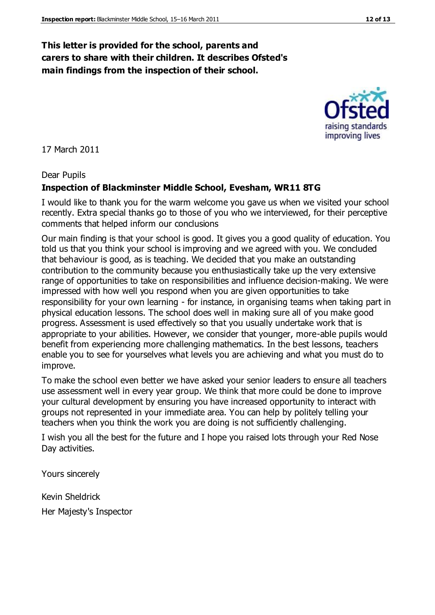### **This letter is provided for the school, parents and carers to share with their children. It describes Ofsted's main findings from the inspection of their school.**

17 March 2011

#### Dear Pupils

#### **Inspection of Blackminster Middle School, Evesham, WR11 8TG**

I would like to thank you for the warm welcome you gave us when we visited your school recently. Extra special thanks go to those of you who we interviewed, for their perceptive comments that helped inform our conclusions

Our main finding is that your school is good. It gives you a good quality of education. You told us that you think your school is improving and we agreed with you. We concluded that behaviour is good, as is teaching. We decided that you make an outstanding contribution to the community because you enthusiastically take up the very extensive range of opportunities to take on responsibilities and influence decision-making. We were impressed with how well you respond when you are given opportunities to take responsibility for your own learning - for instance, in organising teams when taking part in physical education lessons. The school does well in making sure all of you make good progress. Assessment is used effectively so that you usually undertake work that is appropriate to your abilities. However, we consider that younger, more-able pupils would benefit from experiencing more challenging mathematics. In the best lessons, teachers enable you to see for yourselves what levels you are achieving and what you must do to improve.

To make the school even better we have asked your senior leaders to ensure all teachers use assessment well in every year group. We think that more could be done to improve your cultural development by ensuring you have increased opportunity to interact with groups not represented in your immediate area. You can help by politely telling your teachers when you think the work you are doing is not sufficiently challenging.

I wish you all the best for the future and I hope you raised lots through your Red Nose Day activities.

Yours sincerely

Kevin Sheldrick Her Majesty's Inspector